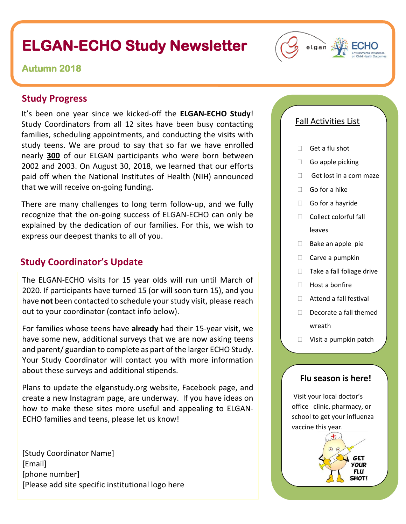# **ELGAN-ECHO Study Newsletter**

#### **Autumn 2018**

#### **Study Progress**

It's been one year since we kicked-off the **ELGAN-ECHO Study**! Study Coordinators from all 12 sites have been busy contacting families, scheduling appointments, and conducting the visits with study teens. We are proud to say that so far we have enrolled nearly **300** of our ELGAN participants who were born between 2002 and 2003. On August 30, 2018, we learned that our efforts paid off when the National Institutes of Health (NIH) announced that we will receive on-going funding.

There are many challenges to long term follow-up, and we fully recognize that the on-going success of ELGAN-ECHO can only be explained by the dedication of our families. For this, we wish to express our deepest thanks to all of you.

#### **Study Coordinator's Update**

The ELGAN-ECHO visits for 15 year olds will run until March of 2020. If participants have turned 15 (or will soon turn 15), and you have **not** been contacted to schedule your study visit, please reach out to your coordinator (contact info below).

For families whose teens have **already** had their 15-year visit, we have some new, additional surveys that we are now asking teens and parent/ guardian to complete as part of the larger ECHO Study. Your Study Coordinator will contact you with more information about these surveys and additional stipends.

Plans to update the elganstudy.org website, Facebook page, and create a new Instagram page, are underway. If you have ideas on how to make these sites more useful and appealing to ELGAN-ECHO families and teens, please let us know!

[Study Coordinator Name] [Email] [phone number] [Please add site specific institutional logo here

#### Fall Activities List

 $\Box$  Get a flu shot

elgan

- $\Box$  Go apple picking
- Get lost in a corn maze
- Go for a hike
- Go for a hayride
- $\Box$  Collect colorful fall leaves
- $\Box$  Bake an apple pie
- $\Box$  Carve a pumpkin
- $\Box$  Take a fall foliage drive
- $\Box$  Host a bonfire
- □ Attend a fall festival
- $\Box$  Decorate a fall themed wreath
- □ Visit a pumpkin patch

#### **Flu season is here!**

Visit your local doctor's office clinic, pharmacy, or school to get your influenza vaccine this year.